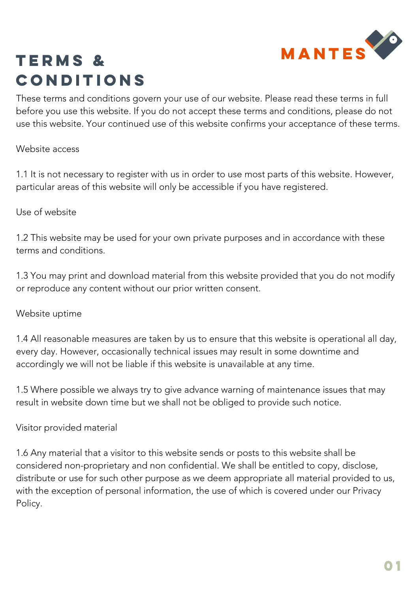

## Terms & conditions

These terms and conditions govern your use of our website. Please read these terms in full before you use this website. If you do not accept these terms and conditions, please do not use this website. Your continued use of this website confirms your acceptance of these terms.

#### Website access

1.1 It is not necessary to register with us in order to use most parts of this website. However, particular areas of this website will only be accessible if you have registered.

### Use of website

1.2 This website may be used for your own private purposes and in accordance with these terms and conditions.

1.3 You may print and download material from this website provided that you do not modify or reproduce any content without our prior written consent.

### Website uptime

1.4 All reasonable measures are taken by us to ensure that this website is operational all day, every day. However, occasionally technical issues may result in some downtime and accordingly we will not be liable if this website is unavailable at any time.

1.5 Where possible we always try to give advance warning of maintenance issues that may result in website down time but we shall not be obliged to provide such notice.

### Visitor provided material

1.6 Any material that a visitor to this website sends or posts to this website shall be considered non-proprietary and non confidential. We shall be entitled to copy, disclose, distribute or use for such other purpose as we deem appropriate all material provided to us, with the exception of personal information, the use of which is covered under our Privacy Policy.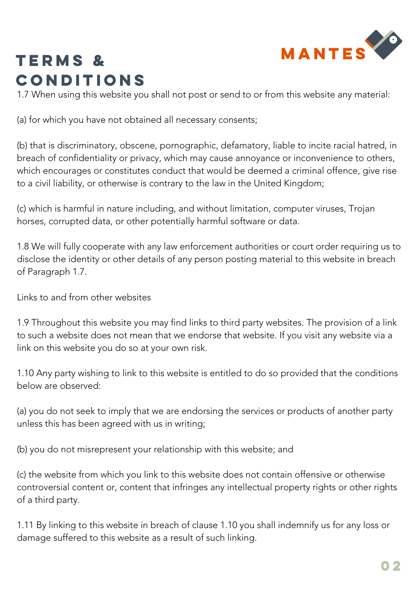

## Terms & **CONDITIONS**

1.7 When using this website you shall not post or send to or from this website any material:

(a) for which you have not obtained all necessary consents;

(b) that is discriminatory, obscene, pornographic, defamatory, liable to incite racial hatred, in breach of confidentiality or privacy, which may cause annoyance or inconvenience to others, which encourages or constitutes conduct that would be deemed a criminal offence, give rise to a civil liability, or otherwise is contrary to the law in the United Kingdom;

(c) which is harmful in nature including, and without limitation, computer viruses, Trojan horses, corrupted data, or other potentially harmful software or data.

1.8 We will fully cooperate with any law enforcement authorities or court order requiring us to disclose the identity or other details of any person posting material to this website in breach of Paragraph 1.7.

Links to and from other websites

1.9 Throughout this website you may find links to third party websites. The provision of a link to such a website does not mean that we endorse that website. If you visit any website via a link on this website you do so at your own risk.

1.10 Any party wishing to link to this website is entitled to do so provided that the conditions below are observed:

(a) you do not seek to imply that we are endorsing the services or products of another party unless this has been agreed with us in writing;

(b) you do not misrepresent your relationship with this website; and

(c) the website from which you link to this website does not contain offensive or otherwise controversial content or, content that infringes any intellectual property rights or other rights of a third party.

1.11 By linking to this website in breach of clause 1.10 you shall indemnify us for any loss or damage suffered to this website as a result of such linking.